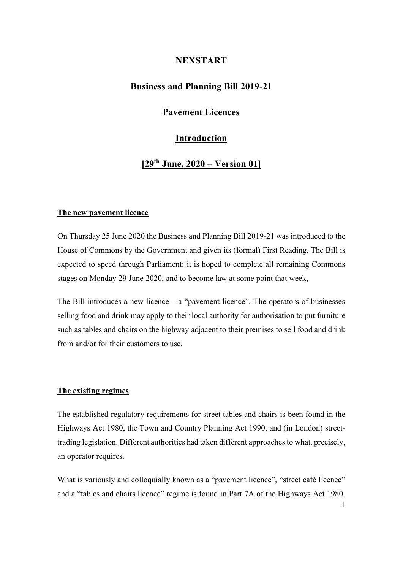# **NEXSTART**

## **Business and Planning Bill 2019-21**

# **Pavement Licences**

## **Introduction**

## **[29th June, 2020 – Version 01]**

#### **The new pavement licence**

On Thursday 25 June 2020 the Business and Planning Bill 2019-21 was introduced to the House of Commons by the Government and given its (formal) First Reading. The Bill is expected to speed through Parliament: it is hoped to complete all remaining Commons stages on Monday 29 June 2020, and to become law at some point that week,

The Bill introduces a new licence – a "pavement licence". The operators of businesses selling food and drink may apply to their local authority for authorisation to put furniture such as tables and chairs on the highway adjacent to their premises to sell food and drink from and/or for their customers to use.

## **The existing regimes**

The established regulatory requirements for street tables and chairs is been found in the Highways Act 1980, the Town and Country Planning Act 1990, and (in London) streettrading legislation. Different authorities had taken different approaches to what, precisely, an operator requires.

What is variously and colloquially known as a "pavement licence", "street café licence" and a "tables and chairs licence" regime is found in Part 7A of the Highways Act 1980.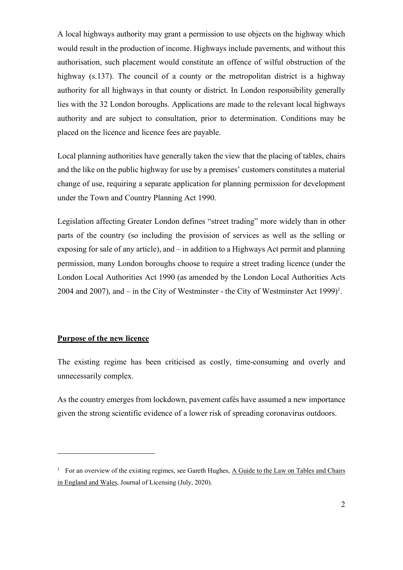A local highways authority may grant a permission to use objects on the highway which would result in the production of income. Highways include pavements, and without this authorisation, such placement would constitute an offence of wilful obstruction of the highway (s.137). The council of a county or the metropolitan district is a highway authority for all highways in that county or district. In London responsibility generally lies with the 32 London boroughs. Applications are made to the relevant local highways authority and are subject to consultation, prior to determination. Conditions may be placed on the licence and licence fees are payable.

Local planning authorities have generally taken the view that the placing of tables, chairs and the like on the public highway for use by a premises' customers constitutes a material change of use, requiring a separate application for planning permission for development under the Town and Country Planning Act 1990.

Legislation affecting Greater London defines "street trading" more widely than in other parts of the country (so including the provision of services as well as the selling or exposing for sale of any article), and – in addition to a Highways Act permit and planning permission, many London boroughs choose to require a street trading licence (under the London Local Authorities Act 1990 (as amended by the London Local Authorities Acts 2004 and 2007), and  $-$  in the City of Westminster - the City of Westminster Act 1999)<sup>1</sup>.

## **Purpose of the new licence**

 $\overline{a}$ 

The existing regime has been criticised as costly, time-consuming and overly and unnecessarily complex.

As the country emerges from lockdown, pavement cafés have assumed a new importance given the strong scientific evidence of a lower risk of spreading coronavirus outdoors.

<sup>&</sup>lt;sup>1</sup> For an overview of the existing regimes, see Gareth Hughes,  $\overline{A}$  Guide to the Law on Tables and Chairs in England and Wales, Journal of Licensing (July, 2020).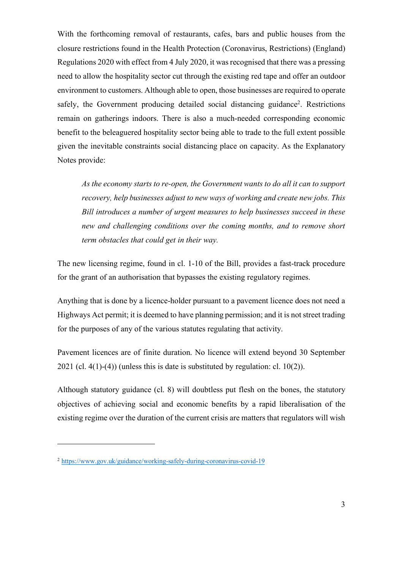With the forthcoming removal of restaurants, cafes, bars and public houses from the closure restrictions found in the Health Protection (Coronavirus, Restrictions) (England) Regulations 2020 with effect from 4 July 2020, it was recognised that there was a pressing need to allow the hospitality sector cut through the existing red tape and offer an outdoor environment to customers. Although able to open, those businesses are required to operate safely, the Government producing detailed social distancing guidance<sup>2</sup>. Restrictions remain on gatherings indoors. There is also a much-needed corresponding economic benefit to the beleaguered hospitality sector being able to trade to the full extent possible given the inevitable constraints social distancing place on capacity. As the Explanatory Notes provide:

*As the economy starts to re-open, the Government wants to do all it can to support recovery, help businesses adjust to new ways of working and create new jobs. This Bill introduces a number of urgent measures to help businesses succeed in these new and challenging conditions over the coming months, and to remove short term obstacles that could get in their way.*

The new licensing regime, found in cl. 1-10 of the Bill, provides a fast-track procedure for the grant of an authorisation that bypasses the existing regulatory regimes.

Anything that is done by a licence-holder pursuant to a pavement licence does not need a Highways Act permit; it is deemed to have planning permission; and it is not street trading for the purposes of any of the various statutes regulating that activity.

Pavement licences are of finite duration. No licence will extend beyond 30 September  $2021$  (cl. 4(1)-(4)) (unless this is date is substituted by regulation: cl. 10(2)).

Although statutory guidance (cl. 8) will doubtless put flesh on the bones, the statutory objectives of achieving social and economic benefits by a rapid liberalisation of the existing regime over the duration of the current crisis are matters that regulators will wish

 $\overline{a}$ 

<sup>2</sup> https://www.gov.uk/guidance/working-safely-during-coronavirus-covid-19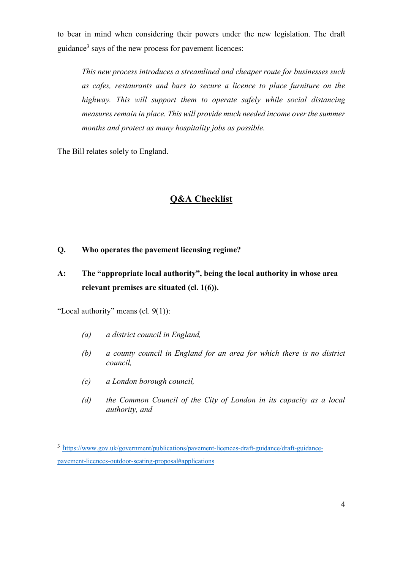to bear in mind when considering their powers under the new legislation. The draft guidance3 says of the new process for pavement licences:

*This new process introduces a streamlined and cheaper route for businesses such as cafes, restaurants and bars to secure a licence to place furniture on the highway. This will support them to operate safely while social distancing measures remain in place. This will provide much needed income over the summer months and protect as many hospitality jobs as possible.*

The Bill relates solely to England.

# **Q&A Checklist**

- **Q. Who operates the pavement licensing regime?**
- **A: The "appropriate local authority", being the local authority in whose area relevant premises are situated (cl. 1(6)).**

"Local authority" means (cl. 9(1)):

 $\overline{a}$ 

- *(a) a district council in England,*
- *(b) a county council in England for an area for which there is no district council,*
- *(c) a London borough council,*
- *(d) the Common Council of the City of London in its capacity as a local authority, and*

<sup>3</sup> https://www.gov.uk/government/publications/pavement-licences-draft-guidance/draft-guidancepavement-licences-outdoor-seating-proposal#applications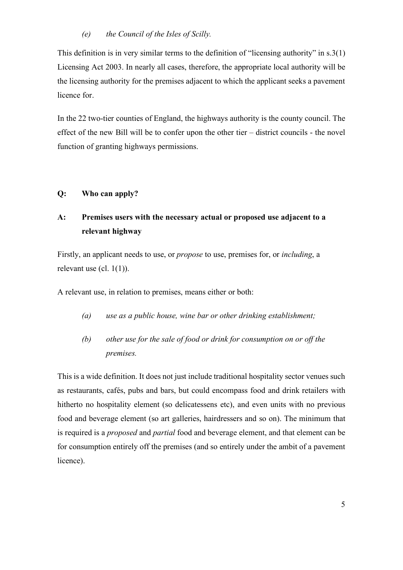This definition is in very similar terms to the definition of "licensing authority" in s.3(1) Licensing Act 2003. In nearly all cases, therefore, the appropriate local authority will be the licensing authority for the premises adjacent to which the applicant seeks a pavement licence for.

In the 22 two-tier counties of England, the highways authority is the county council. The effect of the new Bill will be to confer upon the other tier – district councils - the novel function of granting highways permissions.

#### **Q: Who can apply?**

# **A: Premises users with the necessary actual or proposed use adjacent to a relevant highway**

Firstly, an applicant needs to use, or *propose* to use, premises for, or *including*, a relevant use (cl.  $1(1)$ ).

A relevant use, in relation to premises, means either or both:

- *(a) use as a public house, wine bar or other drinking establishment;*
- *(b) other use for the sale of food or drink for consumption on or off the premises.*

This is a wide definition. It does not just include traditional hospitality sector venues such as restaurants, cafés, pubs and bars, but could encompass food and drink retailers with hitherto no hospitality element (so delicatessens etc), and even units with no previous food and beverage element (so art galleries, hairdressers and so on). The minimum that is required is a *proposed* and *partial* food and beverage element, and that element can be for consumption entirely off the premises (and so entirely under the ambit of a pavement licence).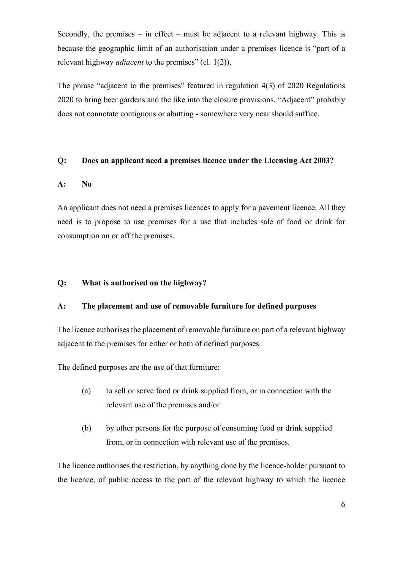Secondly, the premises – in effect – must be adjacent to a relevant highway. This is because the geographic limit of an authorisation under a premises licence is "part of a relevant highway *adjacent* to the premises" (cl. 1(2)).

The phrase "adjacent to the premises" featured in regulation 4(3) of 2020 Regulations 2020 to bring beer gardens and the like into the closure provisions. "Adjacent" probably does not connotate contiguous or abutting - somewhere very near should suffice.

#### **Q: Does an applicant need a premises licence under the Licensing Act 2003?**

#### **A: No**

An applicant does not need a premises licences to apply for a pavement licence. All they need is to propose to use premises for a use that includes sale of food or drink for consumption on or off the premises.

#### **Q: What is authorised on the highway?**

#### **A: The placement and use of removable furniture for defined purposes**

The licence authorises the placement of removable furniture on part of a relevant highway adjacent to the premises for either or both of defined purposes.

The defined purposes are the use of that furniture:

- (a) to sell or serve food or drink supplied from, or in connection with the relevant use of the premises and/or
- (b) by other persons for the purpose of consuming food or drink supplied from, or in connection with relevant use of the premises.

The licence authorises the restriction, by anything done by the licence-holder pursuant to the licence, of public access to the part of the relevant highway to which the licence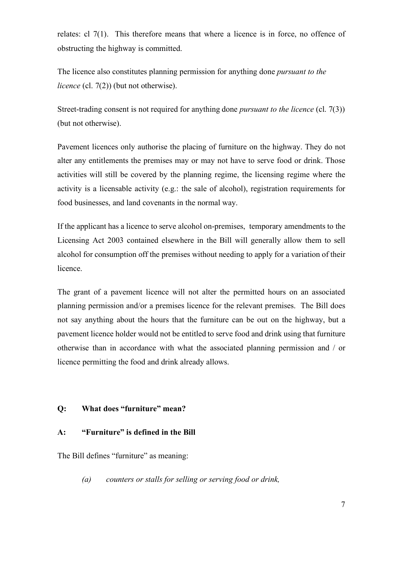relates: cl 7(1). This therefore means that where a licence is in force, no offence of obstructing the highway is committed.

The licence also constitutes planning permission for anything done *pursuant to the licence* (cl. 7(2)) (but not otherwise).

Street-trading consent is not required for anything done *pursuant to the licence* (cl. 7(3)) (but not otherwise).

Pavement licences only authorise the placing of furniture on the highway. They do not alter any entitlements the premises may or may not have to serve food or drink. Those activities will still be covered by the planning regime, the licensing regime where the activity is a licensable activity (e.g.: the sale of alcohol), registration requirements for food businesses, and land covenants in the normal way.

If the applicant has a licence to serve alcohol on-premises, temporary amendments to the Licensing Act 2003 contained elsewhere in the Bill will generally allow them to sell alcohol for consumption off the premises without needing to apply for a variation of their licence.

The grant of a pavement licence will not alter the permitted hours on an associated planning permission and/or a premises licence for the relevant premises. The Bill does not say anything about the hours that the furniture can be out on the highway, but a pavement licence holder would not be entitled to serve food and drink using that furniture otherwise than in accordance with what the associated planning permission and / or licence permitting the food and drink already allows.

#### **Q: What does "furniture" mean?**

### **A: "Furniture" is defined in the Bill**

The Bill defines "furniture" as meaning:

*(a) counters or stalls for selling or serving food or drink,*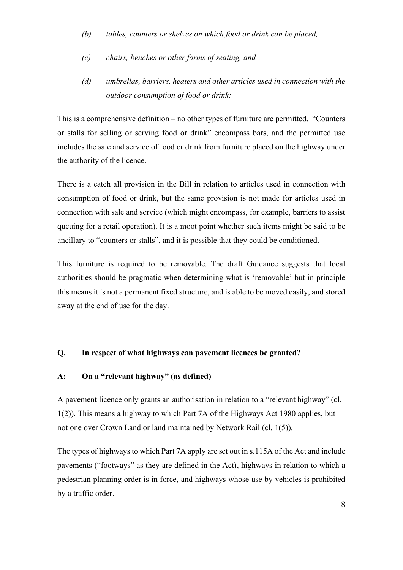- *(b) tables, counters or shelves on which food or drink can be placed,*
- *(c) chairs, benches or other forms of seating, and*
- *(d) umbrellas, barriers, heaters and other articles used in connection with the outdoor consumption of food or drink;*

This is a comprehensive definition – no other types of furniture are permitted. "Counters or stalls for selling or serving food or drink" encompass bars, and the permitted use includes the sale and service of food or drink from furniture placed on the highway under the authority of the licence.

There is a catch all provision in the Bill in relation to articles used in connection with consumption of food or drink, but the same provision is not made for articles used in connection with sale and service (which might encompass, for example, barriers to assist queuing for a retail operation). It is a moot point whether such items might be said to be ancillary to "counters or stalls", and it is possible that they could be conditioned.

This furniture is required to be removable. The draft Guidance suggests that local authorities should be pragmatic when determining what is 'removable' but in principle this means it is not a permanent fixed structure, and is able to be moved easily, and stored away at the end of use for the day.

# **Q. In respect of what highways can pavement licences be granted?**

#### **A: On a "relevant highway" (as defined)**

A pavement licence only grants an authorisation in relation to a "relevant highway" (cl. 1(2)). This means a highway to which Part 7A of the Highways Act 1980 applies, but not one over Crown Land or land maintained by Network Rail (cl. 1(5)).

The types of highways to which Part 7A apply are set out in s.115A of the Act and include pavements ("footways" as they are defined in the Act), highways in relation to which a pedestrian planning order is in force, and highways whose use by vehicles is prohibited by a traffic order.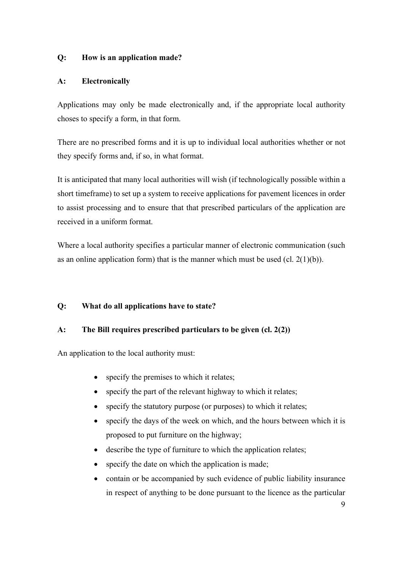## **Q: How is an application made?**

## **A: Electronically**

Applications may only be made electronically and, if the appropriate local authority choses to specify a form, in that form.

There are no prescribed forms and it is up to individual local authorities whether or not they specify forms and, if so, in what format.

It is anticipated that many local authorities will wish (if technologically possible within a short timeframe) to set up a system to receive applications for pavement licences in order to assist processing and to ensure that that prescribed particulars of the application are received in a uniform format.

Where a local authority specifies a particular manner of electronic communication (such as an online application form) that is the manner which must be used (cl.  $2(1)(b)$ ).

# **Q: What do all applications have to state?**

# **A: The Bill requires prescribed particulars to be given (cl. 2(2))**

An application to the local authority must:

- specify the premises to which it relates;
- specify the part of the relevant highway to which it relates;
- specify the statutory purpose (or purposes) to which it relates;
- specify the days of the week on which, and the hours between which it is proposed to put furniture on the highway;
- describe the type of furniture to which the application relates;
- specify the date on which the application is made;
- contain or be accompanied by such evidence of public liability insurance in respect of anything to be done pursuant to the licence as the particular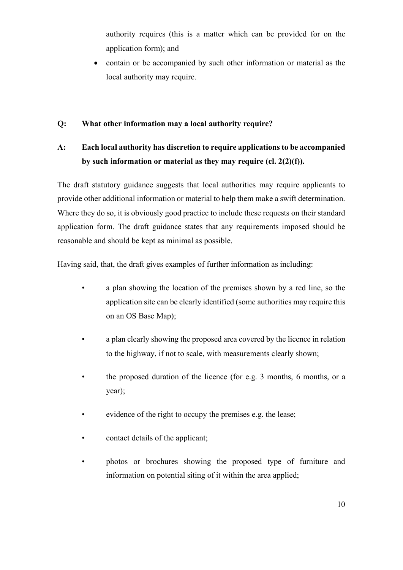authority requires (this is a matter which can be provided for on the application form); and

• contain or be accompanied by such other information or material as the local authority may require.

## **Q: What other information may a local authority require?**

# **A: Each local authority has discretion to require applications to be accompanied by such information or material as they may require (cl. 2(2)(f)).**

The draft statutory guidance suggests that local authorities may require applicants to provide other additional information or material to help them make a swift determination. Where they do so, it is obviously good practice to include these requests on their standard application form. The draft guidance states that any requirements imposed should be reasonable and should be kept as minimal as possible.

Having said, that, the draft gives examples of further information as including:

- a plan showing the location of the premises shown by a red line, so the application site can be clearly identified (some authorities may require this on an OS Base Map);
- a plan clearly showing the proposed area covered by the licence in relation to the highway, if not to scale, with measurements clearly shown;
- the proposed duration of the licence (for e.g. 3 months, 6 months, or a year);
- evidence of the right to occupy the premises e.g. the lease;
- contact details of the applicant;
- photos or brochures showing the proposed type of furniture and information on potential siting of it within the area applied;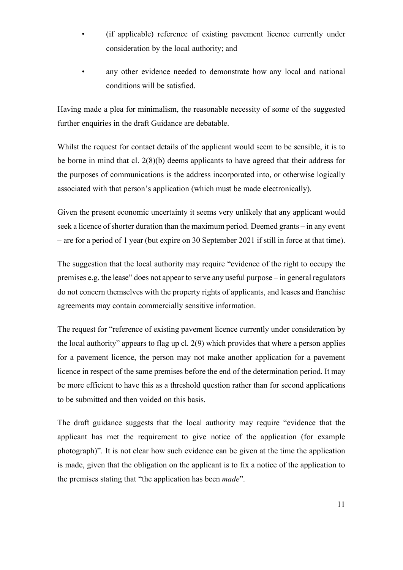- (if applicable) reference of existing pavement licence currently under consideration by the local authority; and
- any other evidence needed to demonstrate how any local and national conditions will be satisfied.

Having made a plea for minimalism, the reasonable necessity of some of the suggested further enquiries in the draft Guidance are debatable.

Whilst the request for contact details of the applicant would seem to be sensible, it is to be borne in mind that cl. 2(8)(b) deems applicants to have agreed that their address for the purposes of communications is the address incorporated into, or otherwise logically associated with that person's application (which must be made electronically).

Given the present economic uncertainty it seems very unlikely that any applicant would seek a licence of shorter duration than the maximum period. Deemed grants – in any event – are for a period of 1 year (but expire on 30 September 2021 if still in force at that time).

The suggestion that the local authority may require "evidence of the right to occupy the premises e.g. the lease" does not appear to serve any useful purpose – in general regulators do not concern themselves with the property rights of applicants, and leases and franchise agreements may contain commercially sensitive information.

The request for "reference of existing pavement licence currently under consideration by the local authority" appears to flag up cl. 2(9) which provides that where a person applies for a pavement licence, the person may not make another application for a pavement licence in respect of the same premises before the end of the determination period. It may be more efficient to have this as a threshold question rather than for second applications to be submitted and then voided on this basis.

The draft guidance suggests that the local authority may require "evidence that the applicant has met the requirement to give notice of the application (for example photograph)". It is not clear how such evidence can be given at the time the application is made, given that the obligation on the applicant is to fix a notice of the application to the premises stating that "the application has been *made*".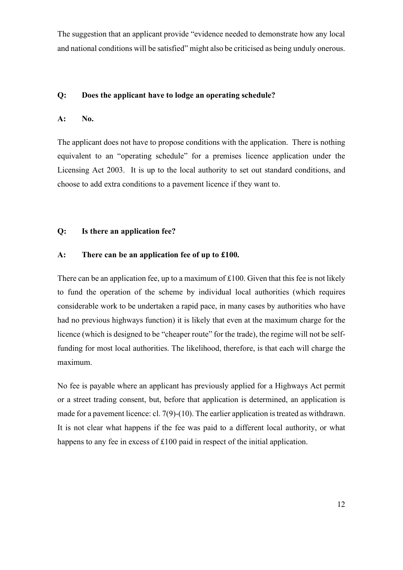The suggestion that an applicant provide "evidence needed to demonstrate how any local and national conditions will be satisfied" might also be criticised as being unduly onerous.

### **Q: Does the applicant have to lodge an operating schedule?**

#### **A: No.**

The applicant does not have to propose conditions with the application. There is nothing equivalent to an "operating schedule" for a premises licence application under the Licensing Act 2003. It is up to the local authority to set out standard conditions, and choose to add extra conditions to a pavement licence if they want to.

#### **Q: Is there an application fee?**

#### **A: There can be an application fee of up to £100.**

There can be an application fee, up to a maximum of £100. Given that this fee is not likely to fund the operation of the scheme by individual local authorities (which requires considerable work to be undertaken a rapid pace, in many cases by authorities who have had no previous highways function) it is likely that even at the maximum charge for the licence (which is designed to be "cheaper route" for the trade), the regime will not be selffunding for most local authorities. The likelihood, therefore, is that each will charge the maximum.

No fee is payable where an applicant has previously applied for a Highways Act permit or a street trading consent, but, before that application is determined, an application is made for a pavement licence: cl. 7(9)-(10). The earlier application is treated as withdrawn. It is not clear what happens if the fee was paid to a different local authority, or what happens to any fee in excess of £100 paid in respect of the initial application.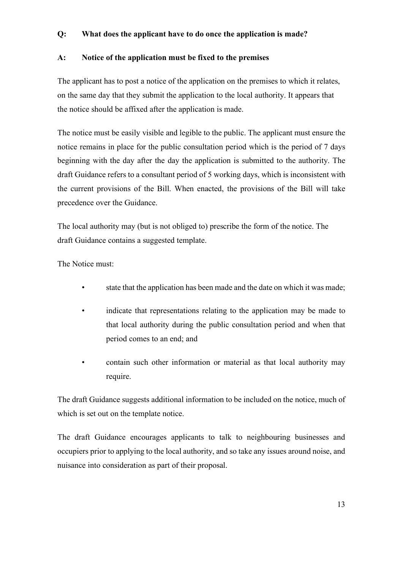## **Q: What does the applicant have to do once the application is made?**

#### **A: Notice of the application must be fixed to the premises**

The applicant has to post a notice of the application on the premises to which it relates, on the same day that they submit the application to the local authority. It appears that the notice should be affixed after the application is made.

The notice must be easily visible and legible to the public. The applicant must ensure the notice remains in place for the public consultation period which is the period of 7 days beginning with the day after the day the application is submitted to the authority. The draft Guidance refers to a consultant period of 5 working days, which is inconsistent with the current provisions of the Bill. When enacted, the provisions of the Bill will take precedence over the Guidance.

The local authority may (but is not obliged to) prescribe the form of the notice. The draft Guidance contains a suggested template.

The Notice must:

- state that the application has been made and the date on which it was made;
- indicate that representations relating to the application may be made to that local authority during the public consultation period and when that period comes to an end; and
- contain such other information or material as that local authority may require.

The draft Guidance suggests additional information to be included on the notice, much of which is set out on the template notice.

The draft Guidance encourages applicants to talk to neighbouring businesses and occupiers prior to applying to the local authority, and so take any issues around noise, and nuisance into consideration as part of their proposal.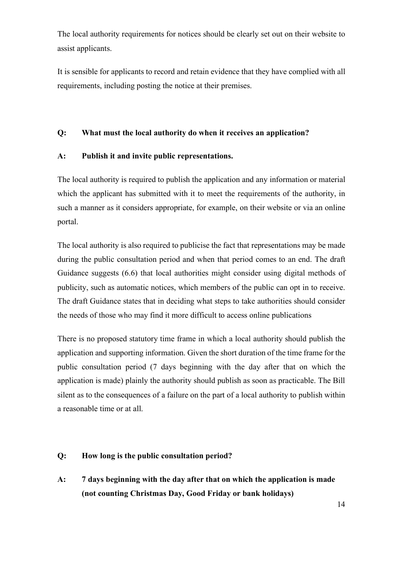The local authority requirements for notices should be clearly set out on their website to assist applicants.

It is sensible for applicants to record and retain evidence that they have complied with all requirements, including posting the notice at their premises.

## **Q: What must the local authority do when it receives an application?**

## **A: Publish it and invite public representations.**

The local authority is required to publish the application and any information or material which the applicant has submitted with it to meet the requirements of the authority, in such a manner as it considers appropriate, for example, on their website or via an online portal.

The local authority is also required to publicise the fact that representations may be made during the public consultation period and when that period comes to an end. The draft Guidance suggests (6.6) that local authorities might consider using digital methods of publicity, such as automatic notices, which members of the public can opt in to receive. The draft Guidance states that in deciding what steps to take authorities should consider the needs of those who may find it more difficult to access online publications

There is no proposed statutory time frame in which a local authority should publish the application and supporting information. Given the short duration of the time frame for the public consultation period (7 days beginning with the day after that on which the application is made) plainly the authority should publish as soon as practicable. The Bill silent as to the consequences of a failure on the part of a local authority to publish within a reasonable time or at all.

## **Q: How long is the public consultation period?**

**A: 7 days beginning with the day after that on which the application is made (not counting Christmas Day, Good Friday or bank holidays)**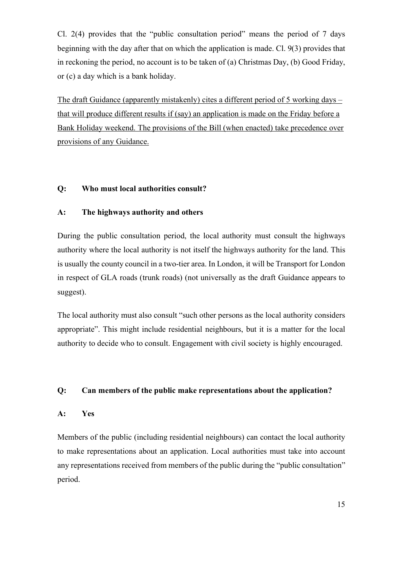Cl. 2(4) provides that the "public consultation period" means the period of  $7$  days beginning with the day after that on which the application is made. Cl. 9(3) provides that in reckoning the period, no account is to be taken of (a) Christmas Day, (b) Good Friday, or (c) a day which is a bank holiday.

The draft Guidance (apparently mistakenly) cites a different period of 5 working days – that will produce different results if (say) an application is made on the Friday before a Bank Holiday weekend. The provisions of the Bill (when enacted) take precedence over provisions of any Guidance.

#### **Q: Who must local authorities consult?**

#### **A: The highways authority and others**

During the public consultation period, the local authority must consult the highways authority where the local authority is not itself the highways authority for the land. This is usually the county council in a two-tier area. In London, it will be Transport for London in respect of GLA roads (trunk roads) (not universally as the draft Guidance appears to suggest).

The local authority must also consult "such other persons as the local authority considers appropriate". This might include residential neighbours, but it is a matter for the local authority to decide who to consult. Engagement with civil society is highly encouraged.

#### **Q: Can members of the public make representations about the application?**

#### **A: Yes**

Members of the public (including residential neighbours) can contact the local authority to make representations about an application. Local authorities must take into account any representations received from members of the public during the "public consultation" period.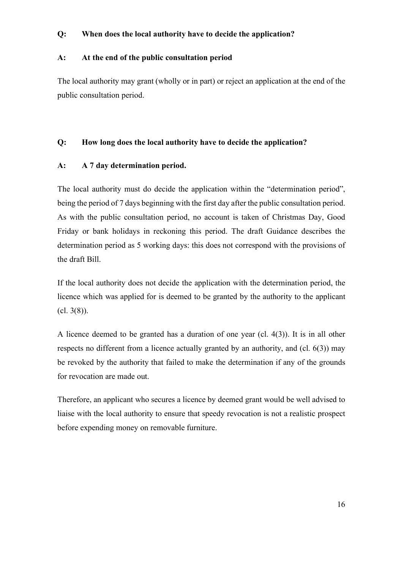#### **Q: When does the local authority have to decide the application?**

#### **A: At the end of the public consultation period**

The local authority may grant (wholly or in part) or reject an application at the end of the public consultation period.

## **Q: How long does the local authority have to decide the application?**

## **A: A 7 day determination period.**

The local authority must do decide the application within the "determination period", being the period of 7 days beginning with the first day after the public consultation period. As with the public consultation period, no account is taken of Christmas Day, Good Friday or bank holidays in reckoning this period. The draft Guidance describes the determination period as 5 working days: this does not correspond with the provisions of the draft Bill.

If the local authority does not decide the application with the determination period, the licence which was applied for is deemed to be granted by the authority to the applicant  $(cl. 3(8))$ .

A licence deemed to be granted has a duration of one year (cl. 4(3)). It is in all other respects no different from a licence actually granted by an authority, and (cl. 6(3)) may be revoked by the authority that failed to make the determination if any of the grounds for revocation are made out.

Therefore, an applicant who secures a licence by deemed grant would be well advised to liaise with the local authority to ensure that speedy revocation is not a realistic prospect before expending money on removable furniture.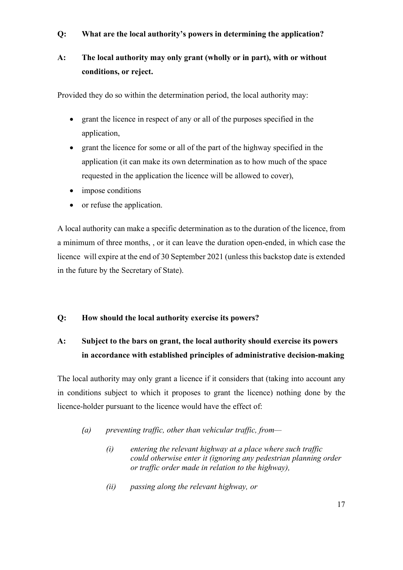## **Q: What are the local authority's powers in determining the application?**

# **A: The local authority may only grant (wholly or in part), with or without conditions, or reject.**

Provided they do so within the determination period, the local authority may:

- grant the licence in respect of any or all of the purposes specified in the application,
- grant the licence for some or all of the part of the highway specified in the application (it can make its own determination as to how much of the space requested in the application the licence will be allowed to cover),
- impose conditions
- or refuse the application.

A local authority can make a specific determination as to the duration of the licence, from a minimum of three months, , or it can leave the duration open-ended, in which case the licence will expire at the end of 30 September 2021 (unless this backstop date is extended in the future by the Secretary of State).

# **Q: How should the local authority exercise its powers?**

# **A: Subject to the bars on grant, the local authority should exercise its powers in accordance with established principles of administrative decision-making**

The local authority may only grant a licence if it considers that (taking into account any in conditions subject to which it proposes to grant the licence) nothing done by the licence-holder pursuant to the licence would have the effect of:

- *(a) preventing traffic, other than vehicular traffic, from—*
	- *(i) entering the relevant highway at a place where such traffic could otherwise enter it (ignoring any pedestrian planning order or traffic order made in relation to the highway),*
	- *(ii) passing along the relevant highway, or*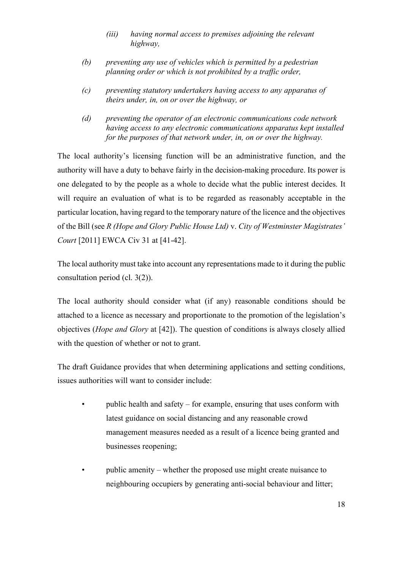- *(iii) having normal access to premises adjoining the relevant highway,*
- *(b) preventing any use of vehicles which is permitted by a pedestrian planning order or which is not prohibited by a traffic order,*
- *(c) preventing statutory undertakers having access to any apparatus of theirs under, in, on or over the highway, or*
- *(d) preventing the operator of an electronic communications code network having access to any electronic communications apparatus kept installed for the purposes of that network under, in, on or over the highway.*

The local authority's licensing function will be an administrative function, and the authority will have a duty to behave fairly in the decision-making procedure. Its power is one delegated to by the people as a whole to decide what the public interest decides. It will require an evaluation of what is to be regarded as reasonably acceptable in the particular location, having regard to the temporary nature of the licence and the objectives of the Bill (see *R (Hope and Glory Public House Ltd)* v. *City of Westminster Magistrates' Court* [2011] EWCA Civ 31 at [41-42].

The local authority must take into account any representations made to it during the public consultation period (cl. 3(2)).

The local authority should consider what (if any) reasonable conditions should be attached to a licence as necessary and proportionate to the promotion of the legislation's objectives (*Hope and Glory* at [42]). The question of conditions is always closely allied with the question of whether or not to grant.

The draft Guidance provides that when determining applications and setting conditions, issues authorities will want to consider include:

- public health and safety for example, ensuring that uses conform with latest guidance on social distancing and any reasonable crowd management measures needed as a result of a licence being granted and businesses reopening;
- public amenity whether the proposed use might create nuisance to neighbouring occupiers by generating anti-social behaviour and litter;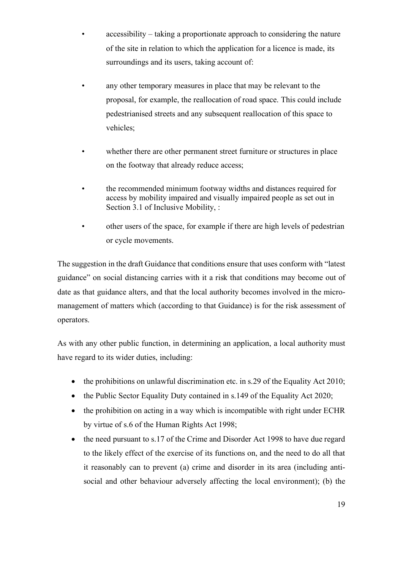- accessibility taking a proportionate approach to considering the nature of the site in relation to which the application for a licence is made, its surroundings and its users, taking account of:
- any other temporary measures in place that may be relevant to the proposal, for example, the reallocation of road space. This could include pedestrianised streets and any subsequent reallocation of this space to vehicles;
- whether there are other permanent street furniture or structures in place on the footway that already reduce access;
- the recommended minimum footway widths and distances required for access by mobility impaired and visually impaired people as set out in Section 3.1 of Inclusive Mobility, :
- other users of the space, for example if there are high levels of pedestrian or cycle movements.

The suggestion in the draft Guidance that conditions ensure that uses conform with "latest guidance" on social distancing carries with it a risk that conditions may become out of date as that guidance alters, and that the local authority becomes involved in the micromanagement of matters which (according to that Guidance) is for the risk assessment of operators.

As with any other public function, in determining an application, a local authority must have regard to its wider duties, including:

- the prohibitions on unlawful discrimination etc. in s.29 of the Equality Act 2010;
- the Public Sector Equality Duty contained in s.149 of the Equality Act 2020;
- the prohibition on acting in a way which is incompatible with right under ECHR by virtue of s.6 of the Human Rights Act 1998;
- the need pursuant to s.17 of the Crime and Disorder Act 1998 to have due regard to the likely effect of the exercise of its functions on, and the need to do all that it reasonably can to prevent (a) crime and disorder in its area (including antisocial and other behaviour adversely affecting the local environment); (b) the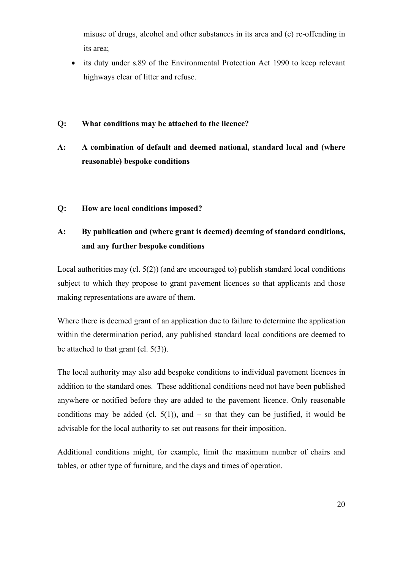misuse of drugs, alcohol and other substances in its area and (c) re-offending in its area;

• its duty under s.89 of the Environmental Protection Act 1990 to keep relevant highways clear of litter and refuse.

#### **Q: What conditions may be attached to the licence?**

# **A: A combination of default and deemed national, standard local and (where reasonable) bespoke conditions**

**Q: How are local conditions imposed?**

# **A: By publication and (where grant is deemed) deeming of standard conditions, and any further bespoke conditions**

Local authorities may (cl. 5(2)) (and are encouraged to) publish standard local conditions subject to which they propose to grant pavement licences so that applicants and those making representations are aware of them.

Where there is deemed grant of an application due to failure to determine the application within the determination period, any published standard local conditions are deemed to be attached to that grant (cl.  $5(3)$ ).

The local authority may also add bespoke conditions to individual pavement licences in addition to the standard ones. These additional conditions need not have been published anywhere or notified before they are added to the pavement licence. Only reasonable conditions may be added (cl.  $5(1)$ ), and – so that they can be justified, it would be advisable for the local authority to set out reasons for their imposition.

Additional conditions might, for example, limit the maximum number of chairs and tables, or other type of furniture, and the days and times of operation.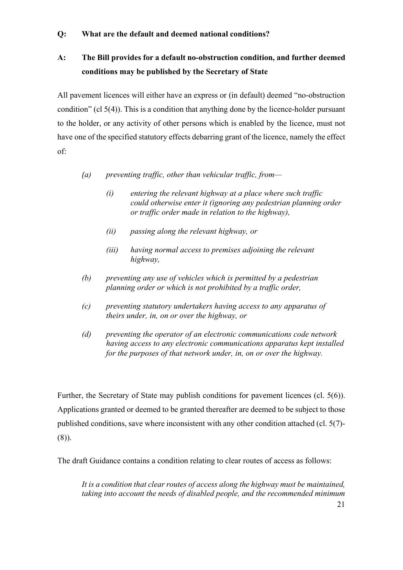## **Q: What are the default and deemed national conditions?**

# **A: The Bill provides for a default no-obstruction condition, and further deemed conditions may be published by the Secretary of State**

All pavement licences will either have an express or (in default) deemed "no-obstruction condition" (cl 5(4)). This is a condition that anything done by the licence-holder pursuant to the holder, or any activity of other persons which is enabled by the licence, must not have one of the specified statutory effects debarring grant of the licence, namely the effect of:

- *(a) preventing traffic, other than vehicular traffic, from—*
	- *(i) entering the relevant highway at a place where such traffic could otherwise enter it (ignoring any pedestrian planning order or traffic order made in relation to the highway),*
	- *(ii) passing along the relevant highway, or*
	- *(iii) having normal access to premises adjoining the relevant highway,*
- *(b) preventing any use of vehicles which is permitted by a pedestrian planning order or which is not prohibited by a traffic order,*
- *(c) preventing statutory undertakers having access to any apparatus of theirs under, in, on or over the highway, or*
- *(d) preventing the operator of an electronic communications code network having access to any electronic communications apparatus kept installed for the purposes of that network under, in, on or over the highway.*

Further, the Secretary of State may publish conditions for pavement licences (cl. 5(6)). Applications granted or deemed to be granted thereafter are deemed to be subject to those published conditions, save where inconsistent with any other condition attached (cl. 5(7)- (8)).

The draft Guidance contains a condition relating to clear routes of access as follows:

*It is a condition that clear routes of access along the highway must be maintained, taking into account the needs of disabled people, and the recommended minimum*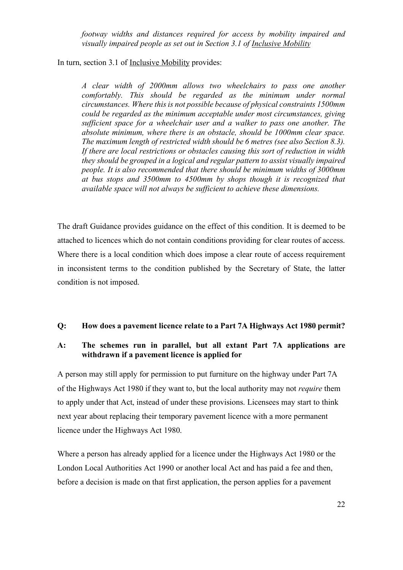*footway widths and distances required for access by mobility impaired and visually impaired people as set out in Section 3.1 of Inclusive Mobility*

In turn, section 3.1 of Inclusive Mobility provides:

*A clear width of 2000mm allows two wheelchairs to pass one another comfortably. This should be regarded as the minimum under normal circumstances. Where this is not possible because of physical constraints 1500mm could be regarded as the minimum acceptable under most circumstances, giving sufficient space for a wheelchair user and a walker to pass one another. The absolute minimum, where there is an obstacle, should be 1000mm clear space. The maximum length of restricted width should be 6 metres (see also Section 8.3). If there are local restrictions or obstacles causing this sort of reduction in width they should be grouped in a logical and regular pattern to assist visually impaired people. It is also recommended that there should be minimum widths of 3000mm at bus stops and 3500mm to 4500mm by shops though it is recognized that available space will not always be sufficient to achieve these dimensions.*

The draft Guidance provides guidance on the effect of this condition. It is deemed to be attached to licences which do not contain conditions providing for clear routes of access. Where there is a local condition which does impose a clear route of access requirement in inconsistent terms to the condition published by the Secretary of State, the latter condition is not imposed.

#### **Q: How does a pavement licence relate to a Part 7A Highways Act 1980 permit?**

#### **A: The schemes run in parallel, but all extant Part 7A applications are withdrawn if a pavement licence is applied for**

A person may still apply for permission to put furniture on the highway under Part 7A of the Highways Act 1980 if they want to, but the local authority may not *require* them to apply under that Act, instead of under these provisions. Licensees may start to think next year about replacing their temporary pavement licence with a more permanent licence under the Highways Act 1980.

Where a person has already applied for a licence under the Highways Act 1980 or the London Local Authorities Act 1990 or another local Act and has paid a fee and then, before a decision is made on that first application, the person applies for a pavement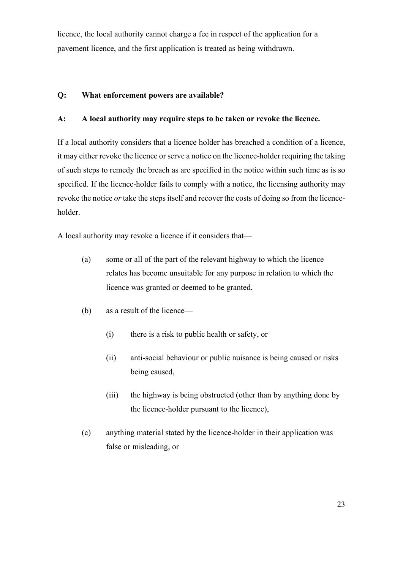licence, the local authority cannot charge a fee in respect of the application for a pavement licence, and the first application is treated as being withdrawn.

### **Q: What enforcement powers are available?**

#### **A: A local authority may require steps to be taken or revoke the licence.**

If a local authority considers that a licence holder has breached a condition of a licence, it may either revoke the licence or serve a notice on the licence-holder requiring the taking of such steps to remedy the breach as are specified in the notice within such time as is so specified. If the licence-holder fails to comply with a notice, the licensing authority may revoke the notice *or* take the steps itself and recover the costs of doing so from the licenceholder.

A local authority may revoke a licence if it considers that—

- (a) some or all of the part of the relevant highway to which the licence relates has become unsuitable for any purpose in relation to which the licence was granted or deemed to be granted,
- (b) as a result of the licence—
	- (i) there is a risk to public health or safety, or
	- (ii) anti-social behaviour or public nuisance is being caused or risks being caused,
	- (iii) the highway is being obstructed (other than by anything done by the licence-holder pursuant to the licence),
- (c) anything material stated by the licence-holder in their application was false or misleading, or